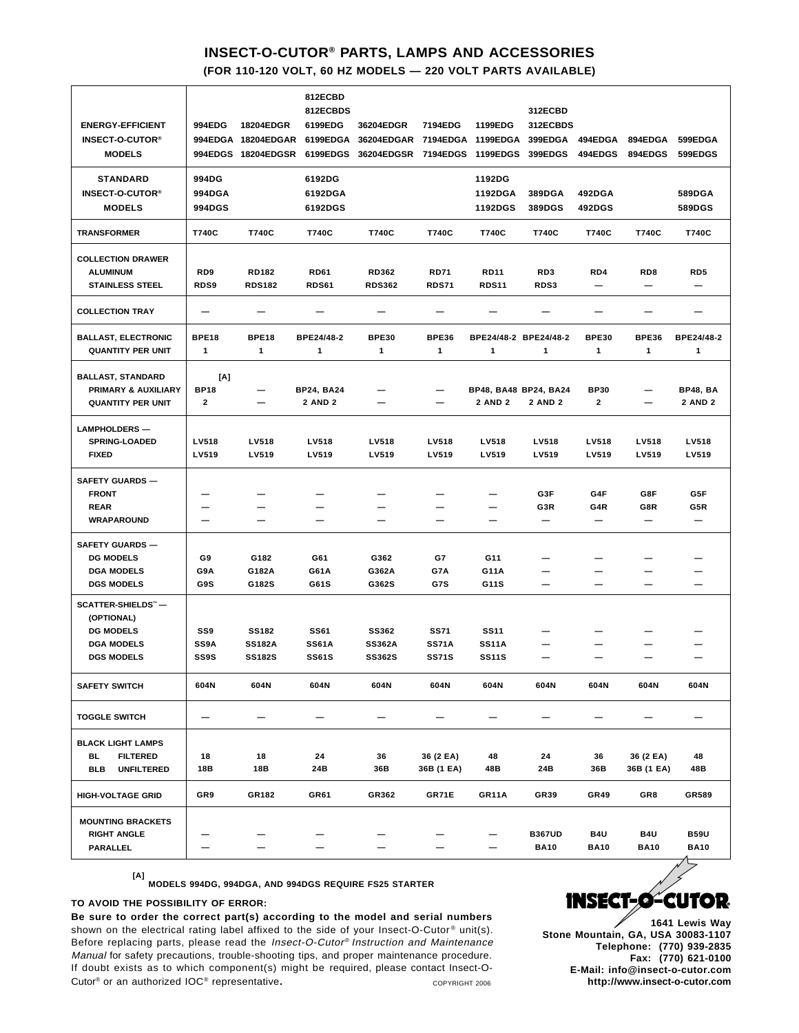## **INSECT-O-CUTOR® PARTS, LAMPS AND ACCESSORIES**

**(FOR 110-120 VOLT, 60 HZ MODELS — 220 VOLT PARTS AVAILABLE)**

| <b>ENERGY-EFFICIENT</b>                 | 994EDG          | 18204EDGR                                | 812ECBD<br>812ECBDS<br>6199EDG | 36204EDGR                | 7194EDG              | 1199EDG                     | 312ECBD<br>312ECBDS      |                    |                          |                    |
|-----------------------------------------|-----------------|------------------------------------------|--------------------------------|--------------------------|----------------------|-----------------------------|--------------------------|--------------------|--------------------------|--------------------|
| <b>INSECT-O-CUTOR®</b><br><b>MODELS</b> |                 | 994EDGA 18204EDGAR<br>994EDGS 18204EDGSR | 6199EDGA<br>6199EDGS           | 36204EDGAR<br>36204EDGSR | 7194EDGA<br>7194EDGS | 1199EDGA<br><b>1199EDGS</b> | 399EDGA<br>399EDGS       | 494EDGA<br>494EDGS | 894EDGA<br>894EDGS       | 599EDGA<br>599EDGS |
| <b>STANDARD</b>                         | 994DG           |                                          | 6192DG                         |                          |                      | 1192DG                      |                          |                    |                          |                    |
| <b>INSECT-O-CUTOR®</b>                  | <b>994DGA</b>   |                                          | 6192DGA                        |                          |                      | 1192DGA                     | 389DGA                   | 492DGA             |                          | 589DGA             |
| <b>MODELS</b>                           | 994DGS          |                                          | 6192DGS                        |                          |                      | <b>1192DGS</b>              | 389DGS                   | 492DGS             |                          | 589DGS             |
| <b>TRANSFORMER</b>                      | T740C           | T740C                                    | T740C                          | T740C                    | T740C                | T740C                       | T740C                    | T740C              | T740C                    | T740C              |
| <b>COLLECTION DRAWER</b>                |                 |                                          |                                |                          |                      |                             |                          |                    |                          |                    |
| <b>ALUMINUM</b>                         | RD <sub>9</sub> | <b>RD182</b>                             | <b>RD61</b>                    | <b>RD362</b>             | <b>RD71</b>          | <b>RD11</b>                 | RD3                      | RD4                | RD8                      | RD5                |
| <b>STAINLESS STEEL</b>                  | RDS9            | <b>RDS182</b>                            | <b>RDS61</b>                   | <b>RDS362</b>            | <b>RDS71</b>         | <b>RDS11</b>                | RDS3                     | —                  | $\qquad \qquad -$        | —                  |
| <b>COLLECTION TRAY</b>                  |                 |                                          |                                |                          |                      |                             |                          |                    |                          |                    |
| <b>BALLAST, ELECTRONIC</b>              | <b>BPE18</b>    | BPE18                                    | BPE24/48-2                     | <b>BPE30</b>             | <b>BPE36</b>         | BPE24/48-2 BPE24/48-2       |                          | <b>BPE30</b>       | <b>BPE36</b>             | BPE24/48-2         |
| <b>QUANTITY PER UNIT</b>                | $\mathbf{1}$    | 1                                        | 1                              | 1                        | 1                    | 1                           | 1                        | 1                  | 1                        | 1                  |
| <b>BALLAST, STANDARD</b>                | [A]             |                                          |                                |                          |                      |                             |                          |                    |                          |                    |
| PRIMARY & AUXILIARY                     | <b>BP18</b>     |                                          | <b>BP24, BA24</b>              |                          |                      | BP48, BA48 BP24, BA24       |                          | <b>BP30</b>        |                          | <b>BP48, BA</b>    |
| <b>QUANTITY PER UNIT</b>                | $\mathbf{2}$    | —                                        | <b>2 AND 2</b>                 |                          |                      | <b>2 AND 2</b>              | <b>2 AND 2</b>           | $\mathbf{2}$       | —                        | <b>2 AND 2</b>     |
| <b>LAMPHOLDERS-</b>                     |                 |                                          |                                |                          |                      |                             |                          |                    |                          |                    |
| <b>SPRING-LOADED</b>                    | LV518           | LV518                                    | LV518                          | LV518                    | LV518                | <b>LV518</b>                | LV518                    | LV518              | LV518                    | LV518              |
| <b>FIXED</b>                            | LV519           | LV519                                    | LV519                          | LV519                    | LV519                | LV519                       | LV519                    | LV519              | LV519                    | LV519              |
| <b>SAFETY GUARDS-</b>                   |                 |                                          |                                |                          |                      |                             |                          |                    |                          |                    |
| <b>FRONT</b>                            |                 |                                          |                                |                          |                      |                             | G3F                      | G4F                | G8F                      | G5F                |
| <b>REAR</b>                             |                 |                                          |                                |                          |                      |                             | G3R                      | G4R                | G8R                      | G5R                |
| <b>WRAPAROUND</b>                       | —               | —                                        | —                              | —                        | —                    | —                           | —                        | —                  | $\qquad \qquad -$        | —                  |
| <b>SAFETY GUARDS-</b>                   |                 |                                          |                                |                          |                      |                             |                          |                    |                          |                    |
| <b>DG MODELS</b>                        | G9              | G182                                     | G61                            | G362                     | G7                   | G11                         |                          |                    | -                        |                    |
| <b>DGA MODELS</b>                       | G9A             | G182A                                    | G61A                           | G362A                    | G7A                  | G11A                        |                          |                    |                          |                    |
| <b>DGS MODELS</b>                       | G9S             | G182S                                    | G61S                           | G362S                    | G7S                  | G11S                        | $\overline{\phantom{0}}$ |                    | $\overline{\phantom{0}}$ |                    |
| SCATTER-SHIELDS™-                       |                 |                                          |                                |                          |                      |                             |                          |                    |                          |                    |
| (OPTIONAL)<br><b>DG MODELS</b>          | SS9             | <b>SS182</b>                             | <b>SS61</b>                    | <b>SS362</b>             | <b>SS71</b>          | <b>SS11</b>                 |                          |                    |                          |                    |
| <b>DGA MODELS</b>                       | <b>SS9A</b>     | <b>SS182A</b>                            | <b>SS61A</b>                   | <b>SS362A</b>            | <b>SS71A</b>         | <b>SS11A</b>                |                          |                    |                          |                    |
| <b>DGS MODELS</b>                       | SS9S            | <b>SS182S</b>                            | <b>SS61S</b>                   | <b>SS362S</b>            | <b>SS71S</b>         | <b>SS11S</b>                |                          |                    |                          |                    |
| <b>SAFETY SWITCH</b>                    | 604N            | 604N                                     | 604N                           | 604N                     | 604N                 | 604N                        | 604N                     | 604N               | 604N                     | 604N               |
| <b>TOGGLE SWITCH</b>                    | —               |                                          |                                |                          |                      |                             |                          |                    |                          |                    |
| <b>BLACK LIGHT LAMPS</b>                |                 |                                          |                                |                          |                      |                             |                          |                    |                          |                    |
| BL.<br><b>FILTERED</b>                  | 18              | 18                                       | 24                             | 36                       | 36 (2 EA)            | 48                          | 24                       | 36                 | 36 (2 EA)                | 48                 |
| <b>BLB</b><br><b>UNFILTERED</b>         | 18B             | 18B                                      | 24B                            | 36B                      | 36B (1 EA)           | 48B                         | 24B                      | 36B                | 36B (1 EA)               | 48B                |
| <b>HIGH-VOLTAGE GRID</b>                | GR9             | GR182                                    | GR61                           | GR362                    | GR71E                | GR11A                       | GR39                     | <b>GR49</b>        | GR8                      | GR589              |
| <b>MOUNTING BRACKETS</b>                |                 |                                          |                                |                          |                      |                             |                          |                    |                          |                    |
| <b>RIGHT ANGLE</b>                      |                 |                                          |                                |                          |                      |                             | <b>B367UD</b>            | B4U                | B4U                      | <b>B59U</b>        |
| PARALLEL                                |                 |                                          | -                              |                          |                      | $\overline{\phantom{m}}$    | <b>BA10</b>              | <b>BA10</b>        | <b>BA10</b>              | <b>BA10</b>        |

**[A] MODELS 994DG, 994DGA, AND 994DGS REQUIRE FS25 STARTER**

## **TO AVOID THE POSSIBILITY OF ERROR:**

**Be sure to order the correct part(s) according to the model and serial numbers** shown on the electrical rating label affixed to the side of your Insect-O-Cutor® unit(s). Before replacing parts, please read the Insect-O-Cutor® Instruction and Maintenance Manual for safety precautions, trouble-shooting tips, and proper maintenance procedure. If doubt exists as to which component(s) might be required, please contact Insect-O-Cutor<sup>®</sup> or an authorized IOC<sup>®</sup> representative. **COPYRIGHT 2006** COPYRIGHT 2006



**1641 Lewis Way Stone Mountain, GA, USA 30083-1107 Telephone: (770) 939-2835 Fax: (770) 621-0100 E-Mail: info@insect-o-cutor.com http://www.insect-o-cutor.com**